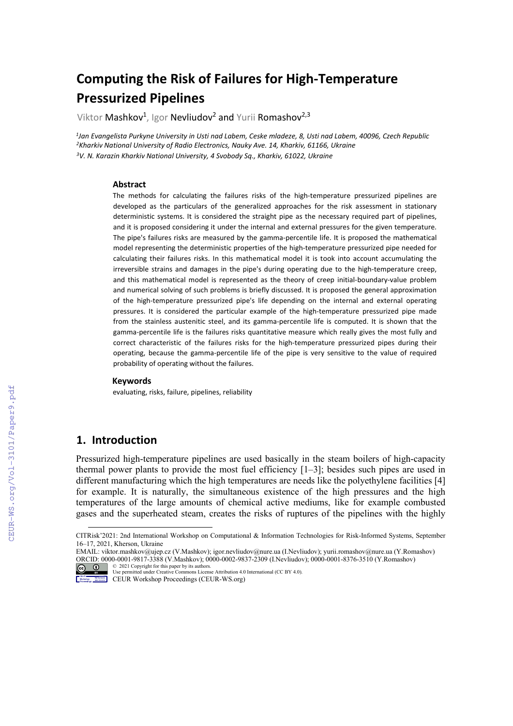# **Computing the Risk of Failures for High-Temperature Pressurized Pipelines**

Viktor Mashkov<sup>1</sup>, Igor Nevliudov<sup>2</sup> and Yurii Romashov<sup>2,3</sup>

*1Jan Evangelista Purkyne University in Usti nad Labem, Ceske mladeze, 8, Usti nad Labem, 40096, Czech Republic 2Kharkiv National University of Radio Electronics, Nauky Ave. 14, Kharkiv, 61166, Ukraine 3V. N. Karazin Kharkiv National University, 4 Svobody Sq., Kharkiv, 61022, Ukraine*

#### **Abstract**

The methods for calculating the failures risks of the high-temperature pressurized pipelines are developed as the particulars of the generalized approaches for the risk assessment in stationary deterministic systems. It is considered the straight pipe as the necessary required part of pipelines, and it is proposed considering it under the internal and external pressures for the given temperature. The pipe's failures risks are measured by the gamma-percentile life. It is proposed the mathematical model representing the deterministic properties of the high-temperature pressurized pipe needed for calculating their failures risks. In this mathematical model it is took into account accumulating the irreversible strains and damages in the pipe's during operating due to the high-temperature creep, and this mathematical model is represented as the theory of creep initial-boundary-value problem and numerical solving of such problems is briefly discussed. It is proposed the general approximation of the high-temperature pressurized pipe's life depending on the internal and external operating pressures. It is considered the particular example of the high-temperature pressurized pipe made from the stainless austenitic steel, and its gamma-percentile life is computed. It is shown that the gamma-percentile life is the failures risks quantitative measure which really gives the most fully and correct characteristic of the failures risks for the high-temperature pressurized pipes during their operating, because the gamma-percentile life of the pipe is very sensitive to the value of required probability of operating without the failures.

#### **Keywords**

evaluating, risks, failure, pipelines, reliability

#### **1. Introduction**

Pressurized high-temperature pipelines are used basically in the steam boilers of high-capacity thermal power plants to provide the most fuel efficiency  $[1-3]$ ; besides such pipes are used in different manufacturing which the high temperatures are needs like the polyethylene facilities [4] for example. It is naturally, the simultaneous existence of the high pressures and the high temperatures of the large amounts of chemical active mediums, like for example combusted gases and the superheated steam, creates the risks of ruptures of the pipelines with the highly

<span id="page-0-0"></span>CITRisk'2021: 2nd International Workshop on Computational & Information Technologies for Risk-Informed Systems, September 16–17, 2021, Kherson, Ukraine

EMAIL[: viktor.mashkov@ujep.cz](mailto:viktor.mashkov@ujep.cz) (V.Mashkov); igor.nevliudov@nure.ua (I.Nevliudov); yurii.romashov@nure.ua (Y.Romashov) ORCID: 0000-0001-9817-3388 (V.Mashkov)[; 0000-0002-9837-2309](https://orcid.org/0000-0002-9837-2309) (I.Nevliudov)[; 0000-0001-8376-3510](https://orcid.org/0000-0001-8376-3510) (Y.Romashov)

<sup>©</sup> 2021 Copyright for this paper by its authors. Use permitted under Creative Commons License Attribution 4.0 International (CC BY 4.0).

CEUR Workshop Proceedings (CEUR-WS.org)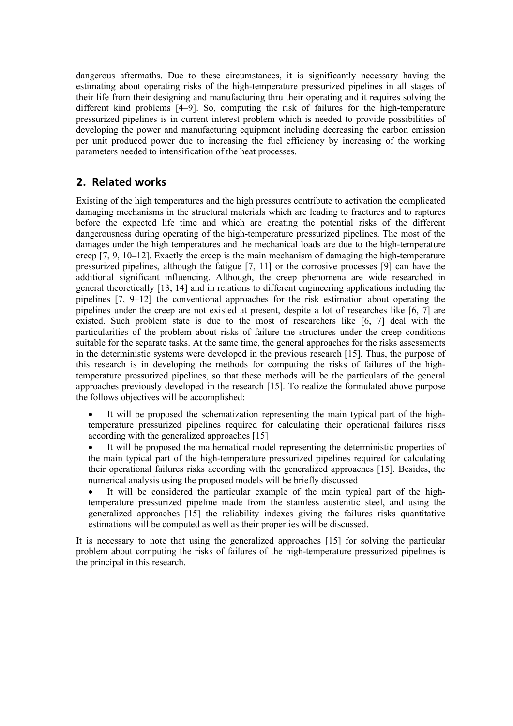dangerous aftermaths. Due to these circumstances, it is significantly necessary having the estimating about operating risks of the high-temperature pressurized pipelines in all stages of their life from their designing and manufacturing thru their operating and it requires solving the different kind problems [4–9]. So, computing the risk of failures for the high-temperature pressurized pipelines is in current interest problem which is needed to provide possibilities of developing the power and manufacturing equipment including decreasing the carbon emission per unit produced power due to increasing the fuel efficiency by increasing of the working parameters needed to intensification of the heat processes.

### **2. Related works**

Existing of the high temperatures and the high pressures contribute to activation the complicated damaging mechanisms in the structural materials which are leading to fractures and to raptures before the expected life time and which are creating the potential risks of the different dangerousness during operating of the high-temperature pressurized pipelines. The most of the damages under the high temperatures and the mechanical loads are due to the high-temperature creep [7, 9, 10–12]. Exactly the creep is the main mechanism of damaging the high-temperature pressurized pipelines, although the fatigue [7, 11] or the corrosive processes [9] can have the additional significant influencing. Although, the creep phenomena are wide researched in general theoretically [13, 14] and in relations to different engineering applications including the pipelines [7, 9–12] the conventional approaches for the risk estimation about operating the pipelines under the creep are not existed at present, despite a lot of researches like [6, 7] are existed. Such problem state is due to the most of researchers like [6, 7] deal with the particularities of the problem about risks of failure the structures under the creep conditions suitable for the separate tasks. At the same time, the general approaches for the risks assessments in the deterministic systems were developed in the previous research [15]. Thus, the purpose of this research is in developing the methods for computing the risks of failures of the hightemperature pressurized pipelines, so that these methods will be the particulars of the general approaches previously developed in the research [15]. To realize the formulated above purpose the follows objectives will be accomplished:

It will be proposed the schematization representing the main typical part of the hightemperature pressurized pipelines required for calculating their operational failures risks according with the generalized approaches [15]

It will be proposed the mathematical model representing the deterministic properties of the main typical part of the high-temperature pressurized pipelines required for calculating their operational failures risks according with the generalized approaches [15]. Besides, the numerical analysis using the proposed models will be briefly discussed

It will be considered the particular example of the main typical part of the hightemperature pressurized pipeline made from the stainless austenitic steel, and using the generalized approaches [15] the reliability indexes giving the failures risks quantitative estimations will be computed as well as their properties will be discussed.

It is necessary to note that using the generalized approaches [15] for solving the particular problem about computing the risks of failures of the high-temperature pressurized pipelines is the principal in this research.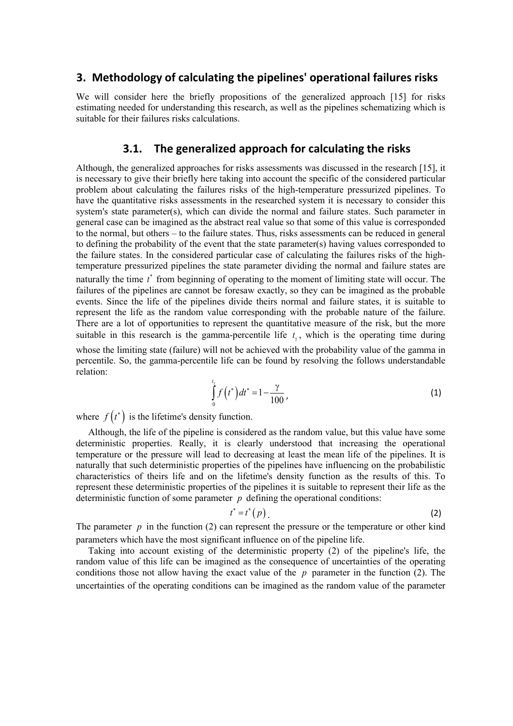#### **3. Methodology of calculating the pipelines' operational failures risks**

We will consider here the briefly propositions of the generalized approach [15] for risks estimating needed for understanding this research, as well as the pipelines schematizing which is suitable for their failures risks calculations.

#### **3.1. The generalized approach for calculating the risks**

Although, the generalized approaches for risks assessments was discussed in the research [15], it is necessary to give their briefly here taking into account the specific of the considered particular problem about calculating the failures risks of the high-temperature pressurized pipelines. To have the quantitative risks assessments in the researched system it is necessary to consider this system's state parameter(s), which can divide the normal and failure states. Such parameter in general case can be imagined as the abstract real value so that some of this value is corresponded to the normal, but others – to the failure states. Thus, risks assessments can be reduced in general to defining the probability of the event that the state parameter(s) having values corresponded to the failure states. In the considered particular case of calculating the failures risks of the hightemperature pressurized pipelines the state parameter dividing the normal and failure states are naturally the time *t*<sup>∗</sup> from beginning of operating to the moment of limiting state will occur. The failures of the pipelines are cannot be foresaw exactly, so they can be imagined as the probable events. Since the life of the pipelines divide theirs normal and failure states, it is suitable to represent the life as the random value corresponding with the probable nature of the failure. There are a lot of opportunities to represent the quantitative measure of the risk, but the more suitable in this research is the gamma-percentile life  $t<sub>x</sub>$ , which is the operating time during whose the limiting state (failure) will not be achieved with the probability value of the gamma in percentile. So, the gamma-percentile life can be found by resolving the follows understandable relation:

$$
\int_{0}^{t_{\gamma}} f(t^{*}) dt^{*} = 1 - \frac{\gamma}{100},
$$
\n(1)

where  $f(t^*)$  is the lifetime's density function.

Although, the life of the pipeline is considered as the random value, but this value have some deterministic properties. Really, it is clearly understood that increasing the operational temperature or the pressure will lead to decreasing at least the mean life of the pipelines. It is naturally that such deterministic properties of the pipelines have influencing on the probabilistic characteristics of theirs life and on the lifetime's density function as the results of this. To represent these deterministic properties of the pipelines it is suitable to represent their life as the deterministic function of some parameter *p* defining the operational conditions:

$$
t^* = t^* (p) \tag{2}
$$

The parameter  $p$  in the function (2) can represent the pressure or the temperature or other kind parameters which have the most significant influence on of the pipeline life.

Taking into account existing of the deterministic property (2) of the pipeline's life, the random value of this life can be imagined as the consequence of uncertainties of the operating conditions those not allow having the exact value of the *p* parameter in the function (2). The uncertainties of the operating conditions can be imagined as the random value of the parameter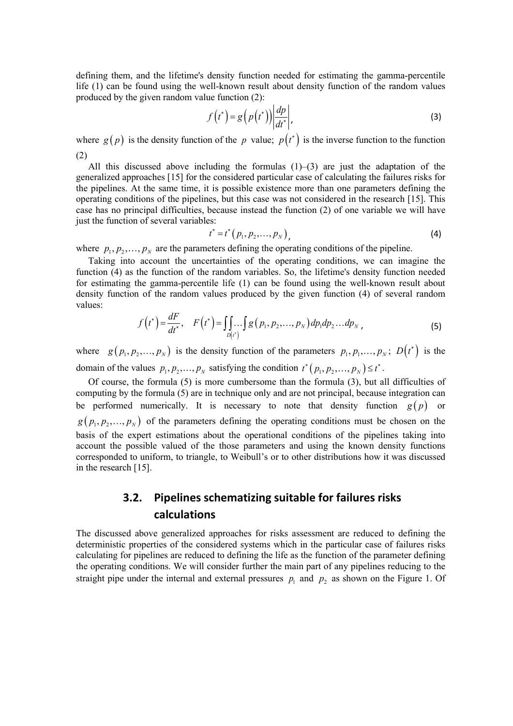defining them, and the lifetime's density function needed for estimating the gamma-percentile life (1) can be found using the well-known result about density function of the random values produced by the given random value function (2):

$$
f(t^*) = g\left(p(t^*)\right) \left| \frac{dp}{dt^*} \right|,\tag{3}
$$

where  $g(p)$  is the density function of the *p* value;  $p(t^*)$  is the inverse function to the function (2)

All this discussed above including the formulas  $(1)$ – $(3)$  are just the adaptation of the generalized approaches [15] for the considered particular case of calculating the failures risks for the pipelines. At the same time, it is possible existence more than one parameters defining the operating conditions of the pipelines, but this case was not considered in the research [15]. This case has no principal difficulties, because instead the function (2) of one variable we will have just the function of several variables:

$$
t^* = t^* (p_1, p_2, \dots, p_N), \tag{4}
$$

where  $p_1, p_2, \ldots, p_N$  are the parameters defining the operating conditions of the pipeline.

Taking into account the uncertainties of the operating conditions, we can imagine the function (4) as the function of the random variables. So, the lifetime's density function needed for estimating the gamma-percentile life (1) can be found using the well-known result about density function of the random values produced by the given function (4) of several random values:

$$
f(t^*) = \frac{dF}{dt^*}, \quad F(t^*) = \iint_{D(t^*)} g(p_1, p_2, \dots, p_N) \, dp_1 dp_2 \dots dp_N \tag{5}
$$

where  $g(p_1, p_2, ..., p_N)$  is the density function of the parameters  $p_1, p_1, ..., p_N$ ;  $D(t^*)$  is the domain of the values  $p_1, p_2, ..., p_N$  satisfying the condition  $t^*(p_1, p_2, ..., p_N) \le t^*$ .

Of course, the formula (5) is more cumbersome than the formula (3), but all difficulties of computing by the formula (5) are in technique only and are not principal, because integration can be performed numerically. It is necessary to note that density function  $g(p)$  or  $g(p_1, p_2,..., p_N)$  of the parameters defining the operating conditions must be chosen on the basis of the expert estimations about the operational conditions of the pipelines taking into account the possible valued of the those parameters and using the known density functions corresponded to uniform, to triangle, to Weibull's or to other distributions how it was discussed in the research [15].

### **3.2. Pipelines schematizing suitable for failures risks calculations**

The discussed above generalized approaches for risks assessment are reduced to defining the deterministic properties of the considered systems which in the particular case of failures risks calculating for pipelines are reduced to defining the life as the function of the parameter defining the operating conditions. We will consider further the main part of any pipelines reducing to the straight pipe under the internal and external pressures  $p_1$  and  $p_2$  as shown on the Figure 1. Of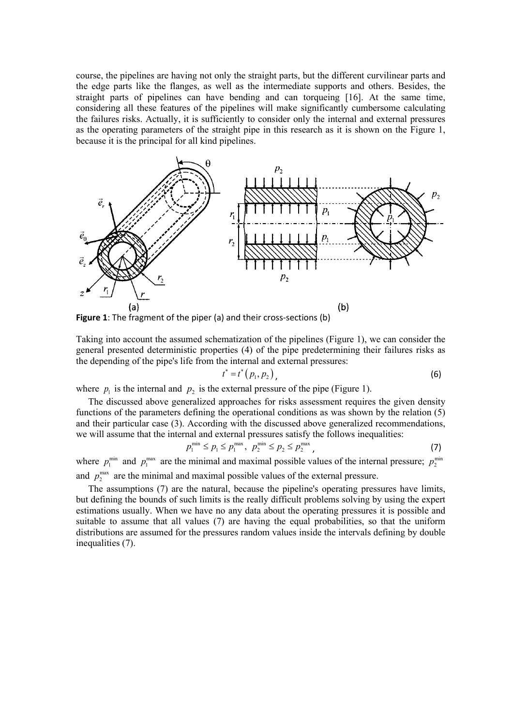course, the pipelines are having not only the straight parts, but the different curvilinear parts and the edge parts like the flanges, as well as the intermediate supports and others. Besides, the straight parts of pipelines can have bending and can torqueing [16]. At the same time, considering all these features of the pipelines will make significantly cumbersome calculating the failures risks. Actually, it is sufficiently to consider only the internal and external pressures as the operating parameters of the straight pipe in this research as it is shown on the Figure 1, because it is the principal for all kind pipelines.



**Figure 1**: The fragment of the piper (a) and their cross-sections (b)

Taking into account the assumed schematization of the pipelines (Figure 1), we can consider the general presented deterministic properties (4) of the pipe predetermining their failures risks as the depending of the pipe's life from the internal and external pressures:

$$
t^* = t^* (p_1, p_2), \tag{6}
$$

where  $p_1$  is the internal and  $p_2$  is the external pressure of the pipe (Figure 1).

The discussed above generalized approaches for risks assessment requires the given density functions of the parameters defining the operational conditions as was shown by the relation (5) and their particular case (3). According with the discussed above generalized recommendations, we will assume that the internal and external pressures satisfy the follows inequalities:

$$
p_1^{\min} \le p_1 \le p_1^{\max}, \ p_2^{\min} \le p_2 \le p_2^{\max}, \tag{7}
$$

where  $p_1^{\min}$  and  $p_1^{\max}$  are the minimal and maximal possible values of the internal pressure;  $p_2^{\min}$ and  $p_2^{\text{max}}$  are the minimal and maximal possible values of the external pressure.

The assumptions (7) are the natural, because the pipeline's operating pressures have limits, but defining the bounds of such limits is the really difficult problems solving by using the expert estimations usually. When we have no any data about the operating pressures it is possible and suitable to assume that all values (7) are having the equal probabilities, so that the uniform distributions are assumed for the pressures random values inside the intervals defining by double inequalities (7).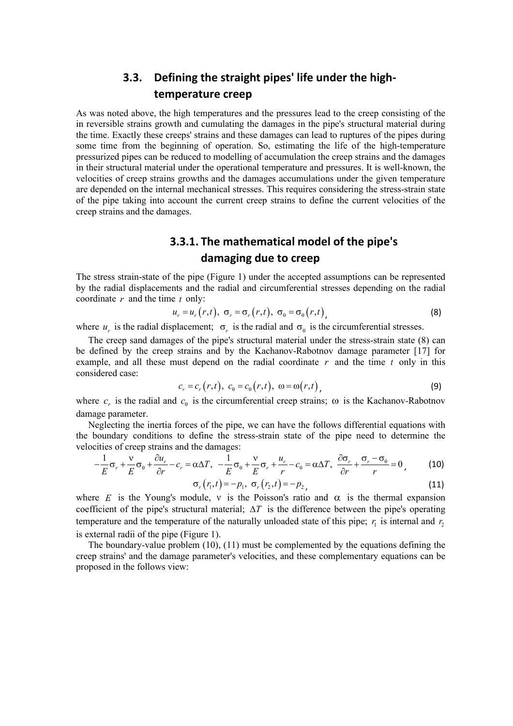## **3.3. Defining the straight pipes' life under the hightemperature creep**

As was noted above, the high temperatures and the pressures lead to the creep consisting of the in reversible strains growth and cumulating the damages in the pipe's structural material during the time. Exactly these creeps' strains and these damages can lead to ruptures of the pipes during some time from the beginning of operation. So, estimating the life of the high-temperature pressurized pipes can be reduced to modelling of accumulation the creep strains and the damages in their structural material under the operational temperature and pressures. It is well-known, the velocities of creep strains growths and the damages accumulations under the given temperature are depended on the internal mechanical stresses. This requires considering the stress-strain state of the pipe taking into account the current creep strains to define the current velocities of the creep strains and the damages.

## **3.3.1. The mathematical model of the pipe's damaging due to creep**

The stress strain-state of the pipe (Figure 1) under the accepted assumptions can be represented by the radial displacements and the radial and circumferential stresses depending on the radial coordinate *r* and the time *t* only:

$$
u_r = u_r(r,t), \ \sigma_r = \sigma_r(r,t), \ \sigma_\theta = \sigma_\theta(r,t), \tag{8}
$$

where  $u_r$  is the radial displacement;  $\sigma_r$  is the radial and  $\sigma_\theta$  is the circumferential stresses.

The creep sand damages of the pipe's structural material under the stress-strain state (8) can be defined by the creep strains and by the Kachanov-Rabotnov damage parameter [17] for example, and all these must depend on the radial coordinate *r* and the time *t* only in this considered case:

$$
c_r = c_r(r,t), \ c_{\theta} = c_{\theta}(r,t), \ \omega = \omega(r,t), \tag{9}
$$

where  $c_r$  is the radial and  $c_{\theta}$  is the circumferential creep strains;  $\omega$  is the Kachanov-Rabotnov damage parameter.

Neglecting the inertia forces of the pipe, we can have the follows differential equations with the boundary conditions to define the stress-strain state of the pipe need to determine the velocities of creep strains and the damages:

$$
-\frac{1}{E}\sigma_r + \frac{v}{E}\sigma_\theta + \frac{\partial u_r}{\partial r} - c_r = \alpha \Delta T, \quad -\frac{1}{E}\sigma_\theta + \frac{v}{E}\sigma_r + \frac{u_r}{r} - c_\theta = \alpha \Delta T, \quad \frac{\partial \sigma_r}{\partial r} + \frac{\sigma_r - \sigma_\theta}{r} = 0 \tag{10}
$$

$$
\sigma_r(r_1, t) = -p_1, \ \sigma_r(r_2, t) = -p_2,
$$
\n(11)

where *E* is the Young's module,  $\nu$  is the Poisson's ratio and  $\alpha$  is the thermal expansion coefficient of the pipe's structural material; ∆*T* is the difference between the pipe's operating temperature and the temperature of the naturally unloaded state of this pipe;  $r_1$  is internal and  $r_2$ is external radii of the pipe (Figure 1).

The boundary-value problem (10), (11) must be complemented by the equations defining the creep strains' and the damage parameter's velocities, and these complementary equations can be proposed in the follows view: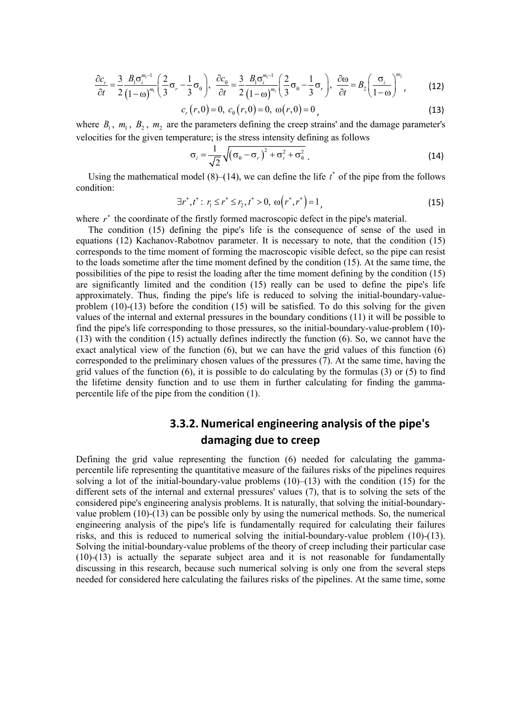$$
\frac{\partial c_r}{\partial t} = \frac{3}{2} \frac{B_1 \sigma_i^{m_1-1}}{(1-\omega)^{m_1}} \left(\frac{2}{3} \sigma_r - \frac{1}{3} \sigma_\theta\right), \quad \frac{\partial c_\theta}{\partial t} = \frac{3}{2} \frac{B_1 \sigma_i^{m_1-1}}{(1-\omega)^{m_1}} \left(\frac{2}{3} \sigma_\theta - \frac{1}{3} \sigma_r\right), \quad \frac{\partial \omega}{\partial t} = B_2 \left(\frac{\sigma_i}{1-\omega}\right)^{m_2},\tag{12}
$$

$$
c_r(r,0) = 0, \ c_0(r,0) = 0, \ \omega(r,0) = 0,
$$
\n(13)

where  $B_1$ ,  $m_1$ ,  $B_2$ ,  $m_2$  are the parameters defining the creep strains' and the damage parameter's velocities for the given temperature; is the stress intensity defining as follows

$$
\sigma_i = \frac{1}{\sqrt{2}} \sqrt{(\sigma_\theta - \sigma_r)^2 + \sigma_r^2 + \sigma_\theta^2} \ . \tag{14}
$$

Using the mathematical model  $(8)$ – $(14)$ , we can define the life  $t^*$  of the pipe from the follows condition:

$$
\exists r^*, t^* : r_1 \le r^* \le r_2, t^* > 0, \ \omega(r^*, r^*) = 1,
$$
\n(15)

where *r*<sup>∗</sup> the coordinate of the firstly formed macroscopic defect in the pipe's material.

The condition (15) defining the pipe's life is the consequence of sense of the used in equations (12) Kachanov-Rabotnov parameter. It is necessary to note, that the condition (15) corresponds to the time moment of forming the macroscopic visible defect, so the pipe can resist to the loads sometime after the time moment defined by the condition (15). At the same time, the possibilities of the pipe to resist the loading after the time moment defining by the condition (15) are significantly limited and the condition (15) really can be used to define the pipe's life approximately. Thus, finding the pipe's life is reduced to solving the initial-boundary-valueproblem (10)-(13) before the condition (15) will be satisfied. To do this solving for the given values of the internal and external pressures in the boundary conditions (11) it will be possible to find the pipe's life corresponding to those pressures, so the initial-boundary-value-problem (10)- (13) with the condition (15) actually defines indirectly the function (6). So, we cannot have the exact analytical view of the function (6), but we can have the grid values of this function (6) corresponded to the preliminary chosen values of the pressures (7). At the same time, having the grid values of the function (6), it is possible to do calculating by the formulas (3) or (5) to find the lifetime density function and to use them in further calculating for finding the gammapercentile life of the pipe from the condition (1).

### **3.3.2.Numerical engineering analysis of the pipe's damaging due to creep**

Defining the grid value representing the function (6) needed for calculating the gammapercentile life representing the quantitative measure of the failures risks of the pipelines requires solving a lot of the initial-boundary-value problems  $(10)$ – $(13)$  with the condition  $(15)$  for the different sets of the internal and external pressures' values (7), that is to solving the sets of the considered pipe's engineering analysis problems. It is naturally, that solving the initial-boundaryvalue problem (10)-(13) can be possible only by using the numerical methods. So, the numerical engineering analysis of the pipe's life is fundamentally required for calculating their failures risks, and this is reduced to numerical solving the initial-boundary-value problem (10)-(13). Solving the initial-boundary-value problems of the theory of creep including their particular case (10)-(13) is actually the separate subject area and it is not reasonable for fundamentally discussing in this research, because such numerical solving is only one from the several steps needed for considered here calculating the failures risks of the pipelines. At the same time, some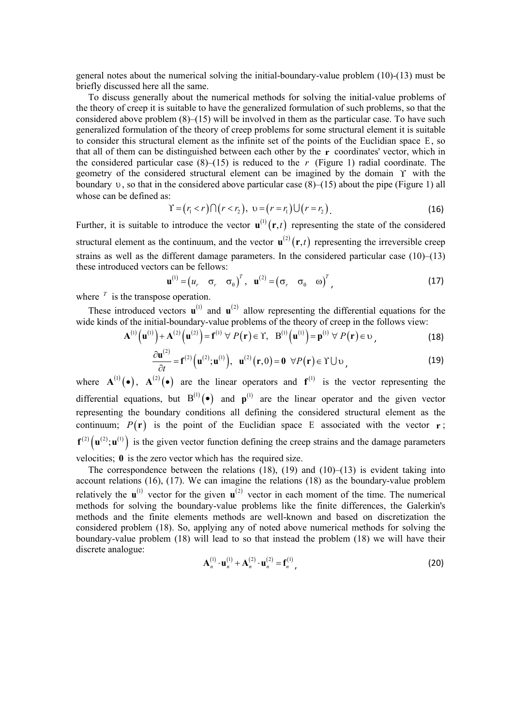general notes about the numerical solving the initial-boundary-value problem (10)-(13) must be briefly discussed here all the same.

To discuss generally about the numerical methods for solving the initial-value problems of the theory of creep it is suitable to have the generalized formulation of such problems, so that the considered above problem  $(8)$ – $(15)$  will be involved in them as the particular case. To have such generalized formulation of the theory of creep problems for some structural element it is suitable to consider this structural element as the infinite set of the points of the Euclidian space Ε, so that all of them can be distinguished between each other by the **r** coordinates' vector, which in the considered particular case  $(8)$ – $(15)$  is reduced to the *r* (Figure 1) radial coordinate. The geometry of the considered structural element can be imagined by the domain  $\Upsilon$  with the boundary  $v$ , so that in the considered above particular case  $(8)$ – $(15)$  about the pipe (Figure 1) all whose can be defined as:

$$
\Upsilon = (r_1 < r) \cap (r < r_2), \ \upsilon = (r = r_1) \cup (r = r_2).
$$
 (16)

Further, it is suitable to introduce the vector  $\mathbf{u}^{(1)}(\mathbf{r},t)$  representing the state of the considered structural element as the continuum, and the vector  $\mathbf{u}^{(2)}(\mathbf{r},t)$  representing the irreversible creep strains as well as the different damage parameters. In the considered particular case  $(10)$ – $(13)$ these introduced vectors can be fellows:

$$
\mathbf{u}^{(1)} = \begin{pmatrix} u_r & \sigma_r & \sigma_\theta \end{pmatrix}^T, \quad \mathbf{u}^{(2)} = \begin{pmatrix} \sigma_r & \sigma_\theta & \omega \end{pmatrix}^T,
$$
 (17)

where  $\bar{r}$  is the transpose operation.

These introduced vectors  $\mathbf{u}^{(1)}$  and  $\mathbf{u}^{(2)}$  allow representing the differential equations for the wide kinds of the initial-boundary-value problems of the theory of creep in the follows view:

$$
\mathbf{A}^{(1)}\left(\mathbf{u}^{(1)}\right) + \mathbf{A}^{(2)}\left(\mathbf{u}^{(2)}\right) = \mathbf{f}^{(1)} \ \forall \ P(\mathbf{r}) \in \Upsilon, \quad \mathbf{B}^{(1)}\left(\mathbf{u}^{(1)}\right) = \mathbf{p}^{(1)} \ \forall \ P(\mathbf{r}) \in \mathcal{V}, \tag{18}
$$

$$
\frac{\partial \mathbf{u}^{(2)}}{\partial t} = \mathbf{f}^{(2)}(\mathbf{u}^{(2)}; \mathbf{u}^{(1)}), \ \mathbf{u}^{(2)}(\mathbf{r}, 0) = \mathbf{0} \ \forall P(\mathbf{r}) \in \Upsilon \cup \mathbf{v}, \tag{19}
$$

where  $A^{(1)}(\bullet)$ ,  $A^{(2)}(\bullet)$  are the linear operators and  $f^{(1)}$  is the vector representing the differential equations, but  $B^{(1)}(\bullet)$  and  $p^{(1)}$  are the linear operator and the given vector representing the boundary conditions all defining the considered structural element as the continuum;  $P(\mathbf{r})$  is the point of the Euclidian space E associated with the vector **r**;  $f^{(2)} (u^{(2)}; u^{(1)})$  is the given vector function defining the creep strains and the damage parameters velocities; **0** is the zero vector which has the required size.

The correspondence between the relations  $(18)$ ,  $(19)$  and  $(10)$ – $(13)$  is evident taking into account relations (16), (17). We can imagine the relations (18) as the boundary-value problem relatively the  $\mathbf{u}^{(1)}$  vector for the given  $\mathbf{u}^{(2)}$  vector in each moment of the time. The numerical methods for solving the boundary-value problems like the finite differences, the Galerkin's methods and the finite elements methods are well-known and based on discretization the considered problem (18). So, applying any of noted above numerical methods for solving the boundary-value problem (18) will lead to so that instead the problem (18) we will have their discrete analogue:

$$
\mathbf{A}_n^{(1)} \cdot \mathbf{u}_n^{(1)} + \mathbf{A}_n^{(2)} \cdot \mathbf{u}_n^{(2)} = \mathbf{f}_n^{(1)},
$$
 (20)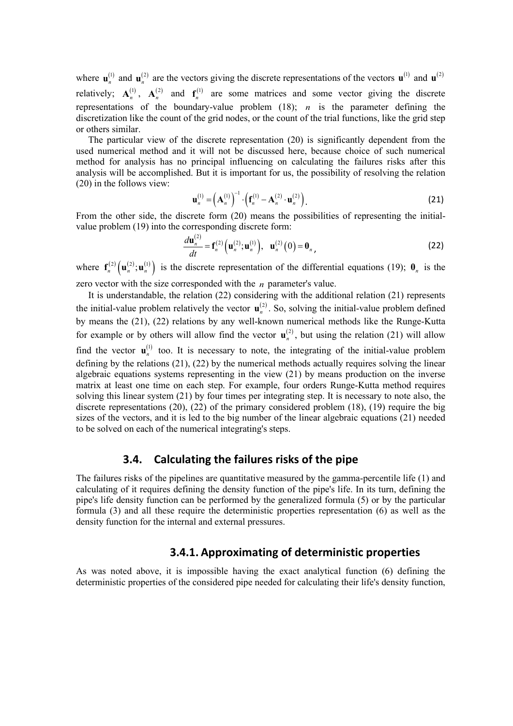where  $\mathbf{u}_n^{(1)}$  and  $\mathbf{u}_n^{(2)}$  are the vectors giving the discrete representations of the vectors  $\mathbf{u}^{(1)}$  and  $\mathbf{u}^{(2)}$ relatively;  $A_n^{(1)}$ ,  $A_n^{(2)}$  and  $f_n^{(1)}$  are some matrices and some vector giving the discrete representations of the boundary-value problem  $(18)$ ; *n* is the parameter defining the discretization like the count of the grid nodes, or the count of the trial functions, like the grid step or others similar.

The particular view of the discrete representation (20) is significantly dependent from the used numerical method and it will not be discussed here, because choice of such numerical method for analysis has no principal influencing on calculating the failures risks after this analysis will be accomplished. But it is important for us, the possibility of resolving the relation (20) in the follows view:

$$
\mathbf{u}_n^{(1)} = \left(\mathbf{A}_n^{(1)}\right)^{-1} \cdot \left(\mathbf{f}_n^{(1)} - \mathbf{A}_n^{(2)} \cdot \mathbf{u}_n^{(2)}\right).
$$
 (21)

From the other side, the discrete form (20) means the possibilities of representing the initialvalue problem (19) into the corresponding discrete form:

$$
\frac{d\mathbf{u}_n^{(2)}}{dt} = \mathbf{f}_n^{(2)} (\mathbf{u}_n^{(2)}; \mathbf{u}_n^{(1)}), \quad \mathbf{u}_n^{(2)}(0) = \mathbf{0}_n,
$$
\n(22)

where  $f_n^{(2)}(u_n^{(2)}; u_n^{(1)})$  is the discrete representation of the differential equations (19);  $\mathbf{0}_n$  is the zero vector with the size corresponded with the *n* parameter's value.

It is understandable, the relation (22) considering with the additional relation (21) represents the initial-value problem relatively the vector  $\mathbf{u}_n^{(2)}$ . So, solving the initial-value problem defined by means the (21), (22) relations by any well-known numerical methods like the Runge-Kutta for example or by others will allow find the vector  $\mathbf{u}_n^{(2)}$ , but using the relation (21) will allow find the vector  $\mathbf{u}_n^{(1)}$  too. It is necessary to note, the integrating of the initial-value problem defining by the relations (21), (22) by the numerical methods actually requires solving the linear algebraic equations systems representing in the view (21) by means production on the inverse matrix at least one time on each step. For example, four orders Runge-Kutta method requires solving this linear system (21) by four times per integrating step. It is necessary to note also, the discrete representations (20), (22) of the primary considered problem (18), (19) require the big sizes of the vectors, and it is led to the big number of the linear algebraic equations (21) needed to be solved on each of the numerical integrating's steps.

#### **3.4. Calculating the failures risks of the pipe**

The failures risks of the pipelines are quantitative measured by the gamma-percentile life (1) and calculating of it requires defining the density function of the pipe's life. In its turn, defining the pipe's life density function can be performed by the generalized formula (5) or by the particular formula (3) and all these require the deterministic properties representation (6) as well as the density function for the internal and external pressures.

### **3.4.1. Approximating of deterministic properties**

As was noted above, it is impossible having the exact analytical function (6) defining the deterministic properties of the considered pipe needed for calculating their life's density function,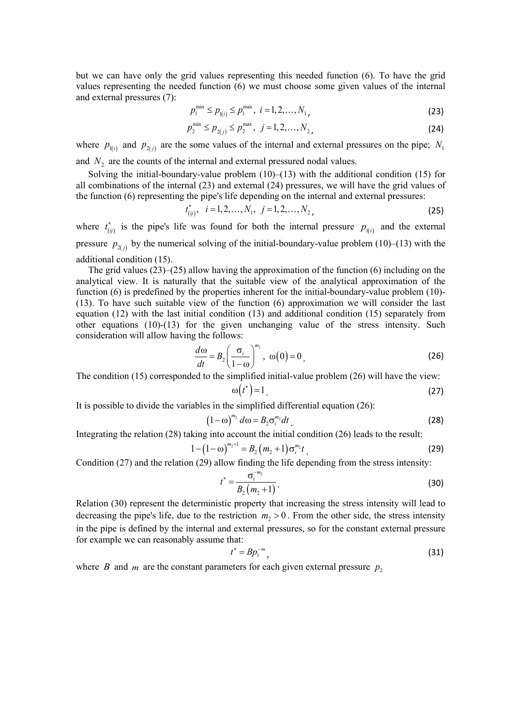but we can have only the grid values representing this needed function (6). To have the grid values representing the needed function (6) we must choose some given values of the internal and external pressures (7):

$$
p_1^{\min} \le p_{1(i)} \le p_1^{\max}, \ i = 1, 2, \dots, N_1, \tag{23}
$$

$$
p_2^{\min} \le p_{2(j)} \le p_2^{\max}, \ \ j = 1, 2, \dots, N_2, \tag{24}
$$

where  $p_{i(i)}$  and  $p_{i(j)}$  are the some values of the internal and external pressures on the pipe;  $N_1$ and  $N<sub>2</sub>$  are the counts of the internal and external pressured nodal values.

Solving the initial-boundary-value problem  $(10)$ – $(13)$  with the additional condition  $(15)$  for all combinations of the internal (23) and external (24) pressures, we will have the grid values of the function (6) representing the pipe's life depending on the internal and external pressures:

$$
t_{(ij)}^*, \quad i = 1, 2, \dots, N_1, \quad j = 1, 2, \dots, N_2,
$$
\n<sup>(25)</sup>

where  $t_{(ij)}^*$  is the pipe's life was found for both the internal pressure  $p_{(i)}$  and the external pressure  $p_{\alpha(i)}$  by the numerical solving of the initial-boundary-value problem (10)–(13) with the additional condition (15).

The grid values  $(23)$ – $(25)$  allow having the approximation of the function (6) including on the analytical view. It is naturally that the suitable view of the analytical approximation of the function (6) is predefined by the properties inherent for the initial-boundary-value problem (10)- (13). To have such suitable view of the function (6) approximation we will consider the last equation (12) with the last initial condition (13) and additional condition (15) separately from other equations (10)-(13) for the given unchanging value of the stress intensity. Such consideration will allow having the follows:

$$
\frac{d\omega}{dt} = B_2 \left(\frac{\sigma_i}{1-\omega}\right)^{m_2}, \ \omega(0) = 0 \tag{26}
$$

The condition (15) corresponded to the simplified initial-value problem (26) will have the view:  $\omega(t^*) = 1$  (27)

It is possible to divide the variables in the simplified differential equation (26):

$$
(1 - \omega)^{m_2} d\omega = B_2 \sigma_i^{m_2} dt
$$
 (28)

Integrating the relation (28) taking into account the initial condition (26) leads to the result:

$$
1 - (1 - \omega)^{m_2 + 1} = B_2 \left( m_2 + 1 \right) \sigma_i^{m_2} t \tag{29}
$$

Condition (27) and the relation (29) allow finding the life depending from the stress intensity:

$$
t^* = \frac{\sigma_i^{-m_2}}{B_2(m_2 + 1)}.
$$
\n(30)

Relation (30) represent the deterministic property that increasing the stress intensity will lead to decreasing the pipe's life, due to the restriction  $m_1 > 0$ . From the other side, the stress intensity in the pipe is defined by the internal and external pressures, so for the constant external pressure for example we can reasonably assume that:

$$
t^* = B p_1^{-m}, \tag{31}
$$

where *B* and *m* are the constant parameters for each given external pressure  $p<sub>2</sub>$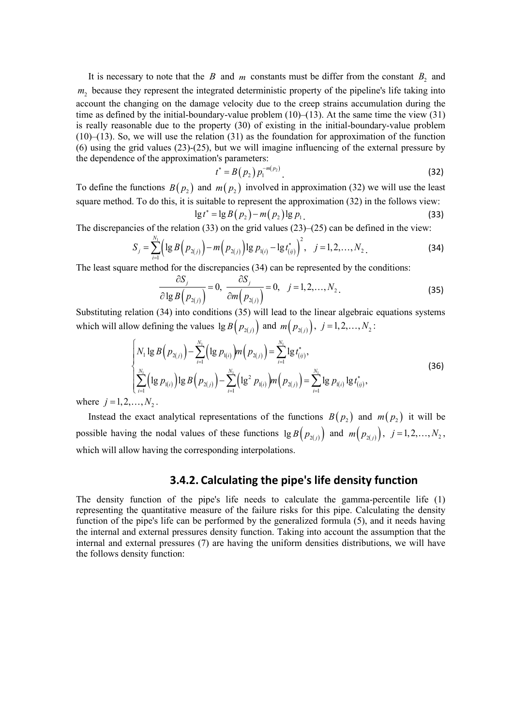It is necessary to note that the *B* and *m* constants must be differ from the constant  $B_2$  and *m*, because they represent the integrated deterministic property of the pipeline's life taking into account the changing on the damage velocity due to the creep strains accumulation during the time as defined by the initial-boundary-value problem  $(10)$ – $(13)$ . At the same time the view  $(31)$ is really reasonable due to the property (30) of existing in the initial-boundary-value problem (10)–(13). So, we will use the relation (31) as the foundation for approximation of the function (6) using the grid values (23)-(25), but we will imagine influencing of the external pressure by the dependence of the approximation's parameters:

$$
t^* = B(p_2) p_1^{-m(p_2)}.
$$
 (32)

To define the functions  $B(p_2)$  and  $m(p_2)$  involved in approximation (32) we will use the least square method. To do this, it is suitable to represent the approximation (32) in the follows view:  $\lg t^* = \lg B(p_2) - m(p_2) \lg p_1$  (33)

The discrepancies of the relation (33) on the grid values (23)–(25) can be defined in the view:

$$
S_j = \sum_{i=1}^{N_1} \left( \lg B\left(p_{2(j)}\right) - m\left(p_{2(j)}\right) \lg p_{1(i)} - \lg t_{(ij)}^*\right)^2, \quad j = 1, 2, \dots, N_2.
$$
 (34)

The least square method for the discrepancies (34) can be represented by the conditions:

$$
\frac{\partial S_j}{\partial \lg B\left(p_{2(j)}\right)} = 0, \frac{\partial S_j}{\partial m\left(p_{2(j)}\right)} = 0, \quad j = 1, 2, \dots, N_2.
$$
\n(35)

Substituting relation (34) into conditions (35) will lead to the linear algebraic equations systems which will allow defining the values  $\lg B(p_{2(i)})$  and  $m(p_{2(i)})$ ,  $j = 1, 2, ..., N_2$ :

$$
\begin{cases}\nN_1 \lg B\left(p_{2(j)}\right) - \sum_{i=1}^{N_1} \left(\lg p_{1(i)}\right) m\left(p_{2(j)}\right) = \sum_{i=1}^{N_1} \lg t_{(ij)}^*, \\
\sum_{i=1}^{N_1} \left(\lg p_{1(i)}\right) \lg B\left(p_{2(j)}\right) - \sum_{i=1}^{N_1} \left(\lg^2 p_{1(i)}\right) m\left(p_{2(j)}\right) = \sum_{i=1}^{N_1} \lg p_{1(i)} \lg t_{(ij)}^*,\n\end{cases} \tag{36}
$$

where  $j = 1, 2, ..., N_2$ .

Instead the exact analytical representations of the functions  $B(p_2)$  and  $m(p_2)$  it will be possible having the nodal values of these functions  $\lg B(p_{2(i)})$  and  $m(p_{2(i)})$ ,  $j = 1, 2, ..., N_2$ , which will allow having the corresponding interpolations.

#### **3.4.2. Calculating the pipe's life density function**

The density function of the pipe's life needs to calculate the gamma-percentile life (1) representing the quantitative measure of the failure risks for this pipe. Calculating the density function of the pipe's life can be performed by the generalized formula (5), and it needs having the internal and external pressures density function. Taking into account the assumption that the internal and external pressures (7) are having the uniform densities distributions, we will have the follows density function: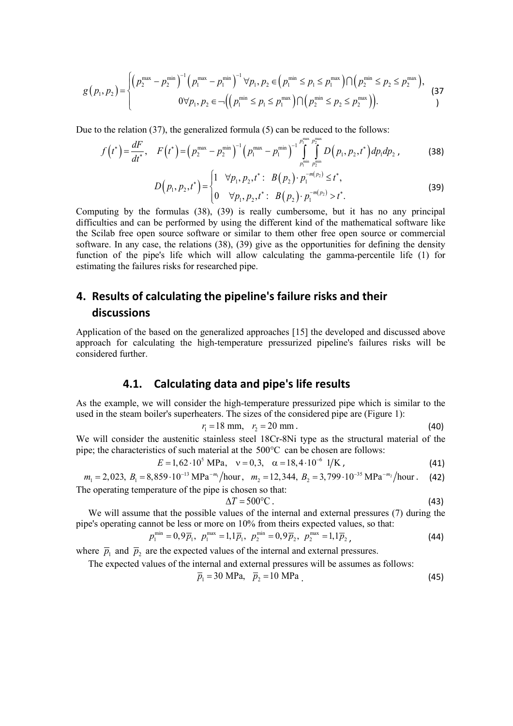$$
g(p_1, p_2) = \begin{cases} \left(p_2^{\max} - p_2^{\min}\right)^{-1} \left(p_1^{\max} - p_1^{\min}\right)^{-1} \forall p_1, p_2 \in \left(p_1^{\min} \le p_1 \le p_1^{\max}\right) \cap \left(p_2^{\min} \le p_2 \le p_2^{\max}\right), \\ \left(p_1, p_2\right) = \begin{cases} \left(p_1^{\min} - p_2^{\min}\right)^{-1} \left(p_1^{\min} - p_1^{\min}\right)^{-1} & \text{if } p_2 \in \left(p_1^{\min} \le p_2 \le p_2^{\max}\right) \\ 0 & \text{if } p_2 \in \left(p_1^{\min} \le p_2^{\min}\right) \end{cases} \tag{37}
$$

$$
0 \forall p_1, p_2 \in \neg \Big( \Big( p_1^{\min} \leq p_1 \leq p_1^{\max} \Big) \cap \Big( p_2^{\min} \leq p_2 \leq p_2^{\max} \Big) \Big).
$$

Due to the relation (37), the generalized formula (5) can be reduced to the follows:

$$
f(t^*) = \frac{dF}{dt^*}, \quad F(t^*) = (p_2^{\max} - p_2^{\min})^{-1} (p_1^{\max} - p_1^{\min})^{-1} \int_{p_1^{\min}}^{p_1^{\max} p_2^{\max}} D(p_1, p_2, t^*) dp_1 dp_2 , \qquad (38)
$$

$$
D\left(p_1, p_2, t^*\right) = \begin{cases} 1 & \forall p_1, p_2, t^* : B\left(p_2\right) \cdot p_1^{-m(p_2)} \le t^*, \\ 0 & \forall p_1, p_2, t^* : B\left(p_2\right) \cdot p_1^{-m(p_2)} > t^*. \end{cases} \tag{39}
$$

Computing by the formulas (38), (39) is really cumbersome, but it has no any principal difficulties and can be performed by using the different kind of the mathematical software like the Scilab free open source software or similar to them other free open source or commercial software. In any case, the relations (38), (39) give as the opportunities for defining the density function of the pipe's life which will allow calculating the gamma-percentile life (1) for estimating the failures risks for researched pipe.

### **4. Results of calculating the pipeline's failure risks and their discussions**

Application of the based on the generalized approaches [15] the developed and discussed above approach for calculating the high-temperature pressurized pipeline's failures risks will be considered further.

### **4.1. Calculating data and pipe's life results**

As the example, we will consider the high-temperature pressurized pipe which is similar to the used in the steam boiler's superheaters. The sizes of the considered pipe are (Figure 1):

$$
r_1 = 18 \text{ mm}, \quad r_2 = 20 \text{ mm}. \tag{40}
$$

We will consider the austenitic stainless steel 18Cr-8Ni type as the structural material of the pipe; the characteristics of such material at the  $500^{\circ}$ C can be chosen are follows:

$$
E = 1,62 \cdot 10^5 \text{ MPa}, \quad v = 0,3, \quad \alpha = 18,4 \cdot 10^{-6} \text{ 1/K}, \tag{41}
$$

$$
m_1 = 2,023
$$
,  $B_1 = 8,859 \cdot 10^{-13}$  MPa<sup>-m<sub>1</sub></sup>/hour,  $m_2 = 12,344$ ,  $B_2 = 3,799 \cdot 10^{-35}$  MPa<sup>-m<sub>2</sub></sup>/hour. (42)  
The operating temperature of the pipe is chosen so that:

$$
\Delta T = 500^{\circ}\text{C} \tag{43}
$$

We will assume that the possible values of the internal and external pressures (7) during the pipe's operating cannot be less or more on 10% from theirs expected values, so that:

$$
p_1^{\min} = 0,9\overline{p}_1, \ p_1^{\max} = 1,1\overline{p}_1, \ p_2^{\min} = 0,9\overline{p}_2, \ p_2^{\max} = 1,1\overline{p}_2,\tag{44}
$$

where  $\bar{p}_1$  and  $\bar{p}_2$  are the expected values of the internal and external pressures.

The expected values of the internal and external pressures will be assumes as follows:

$$
\overline{p}_1 = 30 \text{ MPa}, \quad \overline{p}_2 = 10 \text{ MPa} \tag{45}
$$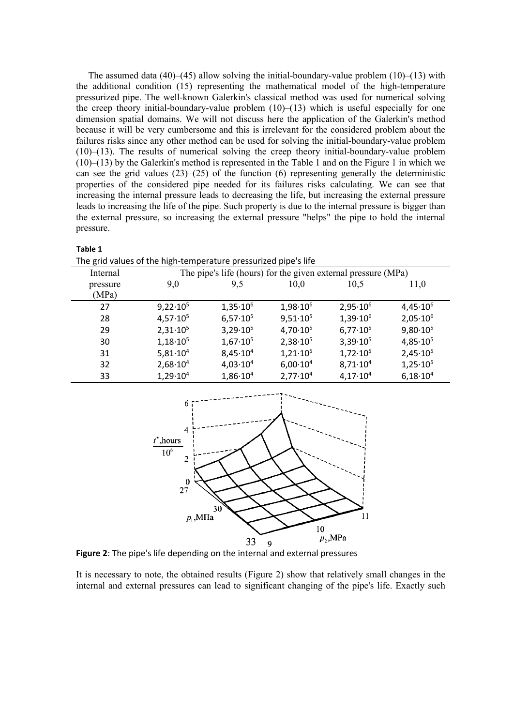The assumed data  $(40)$ – $(45)$  allow solving the initial-boundary-value problem  $(10)$ – $(13)$  with the additional condition (15) representing the mathematical model of the high-temperature pressurized pipe. The well-known Galerkin's classical method was used for numerical solving the creep theory initial-boundary-value problem  $(10)$ – $(13)$  which is useful especially for one dimension spatial domains. We will not discuss here the application of the Galerkin's method because it will be very cumbersome and this is irrelevant for the considered problem about the failures risks since any other method can be used for solving the initial-boundary-value problem (10)–(13). The results of numerical solving the creep theory initial-boundary-value problem (10)–(13) by the Galerkin's method is represented in the Table 1 and on the Figure 1 in which we can see the grid values  $(23)$ – $(25)$  of the function  $(6)$  representing generally the deterministic properties of the considered pipe needed for its failures risks calculating. We can see that increasing the internal pressure leads to decreasing the life, but increasing the external pressure leads to increasing the life of the pipe. Such property is due to the internal pressure is bigger than the external pressure, so increasing the external pressure "helps" the pipe to hold the internal pressure.

| The grid values of the high-temperature pressurized pipe's life<br>The pipe's life (hours) for the given external pressure (MPa)<br>Internal |  |
|----------------------------------------------------------------------------------------------------------------------------------------------|--|
|                                                                                                                                              |  |
|                                                                                                                                              |  |
| 9,5<br>10,5<br>10,0<br>9,0<br>11,0<br>pressure                                                                                               |  |
| (MPa)                                                                                                                                        |  |
| $1,35 \cdot 10^{6}$<br>$2,95 \cdot 10^{6}$<br>$4,45 \cdot 10^{6}$<br>$9,22 \cdot 10^5$<br>$1,98.10^{6}$<br>27                                |  |
| $6,57.10^{5}$<br>$1,39.10^6$<br>$2,05 \cdot 10^{6}$<br>$4,57 \cdot 10^{5}$<br>$9,51 \cdot 10^{5}$<br>28                                      |  |
| 3,29.10 <sup>5</sup><br>$9,80.10^{5}$<br>$2,31 \cdot 10^{5}$<br>$4,70 \cdot 10^{5}$<br>$6,77 \cdot 10^{5}$<br>29                             |  |
| 3,39.10 <sup>5</sup><br>$1,67 \cdot 10^5$<br>$1,18 \cdot 10^5$<br>$2,38.10^{5}$<br>$4,85 \cdot 10^{5}$<br>30                                 |  |
| $8,45 \cdot 10^{4}$<br>$1,72 \cdot 10^5$<br>$5,81 \cdot 10^{4}$<br>$1,21 \cdot 10^{5}$<br>2,45.10 <sup>5</sup><br>31                         |  |
| $8,71 \cdot 10^{4}$<br>$4,03 \cdot 10^{4}$<br>$1,25 \cdot 10^5$<br>$2,68 \cdot 10^{4}$<br>$6,00.10^{4}$<br>32                                |  |
| $1,29 \cdot 10^{4}$<br>$1,86 \cdot 10^{4}$<br>$2,77 \cdot 10^{4}$<br>$4,17 \cdot 10^{4}$<br>$6,18.10^{4}$<br>33                              |  |



**Figure 2**: The pipe's life depending on the internal and external pressures

It is necessary to note, the obtained results (Figure 2) show that relatively small changes in the internal and external pressures can lead to significant changing of the pipe's life. Exactly such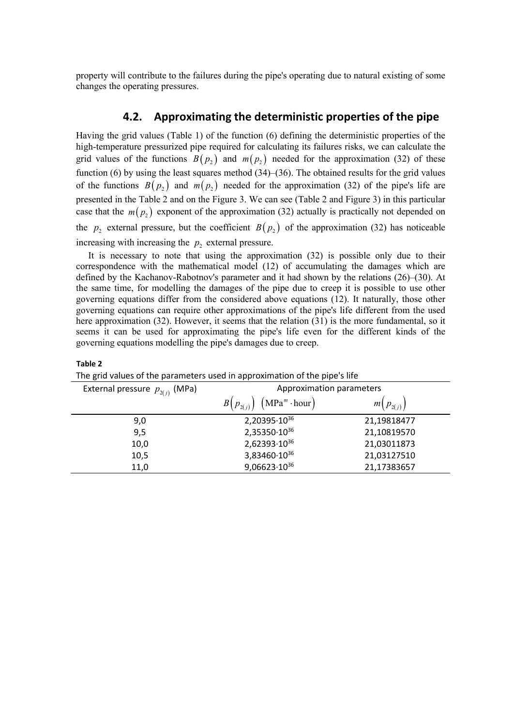property will contribute to the failures during the pipe's operating due to natural existing of some changes the operating pressures.

#### **4.2. Approximating the deterministic properties of the pipe**

Having the grid values (Table 1) of the function (6) defining the deterministic properties of the high-temperature pressurized pipe required for calculating its failures risks, we can calculate the grid values of the functions  $B(p_2)$  and  $m(p_2)$  needed for the approximation (32) of these function (6) by using the least squares method (34)–(36). The obtained results for the grid values of the functions  $B(p_2)$  and  $m(p_2)$  needed for the approximation (32) of the pipe's life are presented in the Table 2 and on the Figure 3. We can see (Table 2 and Figure 3) in this particular case that the  $m(p_2)$  exponent of the approximation (32) actually is practically not depended on the  $p_2$  external pressure, but the coefficient  $B(p_2)$  of the approximation (32) has noticeable increasing with increasing the  $p_2$  external pressure.

It is necessary to note that using the approximation (32) is possible only due to their correspondence with the mathematical model (12) of accumulating the damages which are defined by the Kachanov-Rabotnov's parameter and it had shown by the relations (26)–(30). At the same time, for modelling the damages of the pipe due to creep it is possible to use other governing equations differ from the considered above equations (12). It naturally, those other governing equations can require other approximations of the pipe's life different from the used here approximation (32). However, it seems that the relation (31) is the more fundamental, so it seems it can be used for approximating the pipe's life even for the different kinds of the governing equations modelling the pipe's damages due to creep.

| The grid values of the parameters used in approximation of the pipe's life |               |  |  |
|----------------------------------------------------------------------------|---------------|--|--|
| Approximation parameters                                                   |               |  |  |
| $(MPam \cdot hour)$<br>$B(p_{2(i)})$                                       | $m(p_{2(i)})$ |  |  |
| $2,20395 \cdot 10^{36}$                                                    | 21,19818477   |  |  |
| 2,35350.1036                                                               | 21,10819570   |  |  |
| 2,62393.1036                                                               | 21,03011873   |  |  |
| 3,83460.1036                                                               | 21,03127510   |  |  |
| $9,06623\cdot10^{36}$                                                      | 21,17383657   |  |  |
|                                                                            |               |  |  |

**Table 2**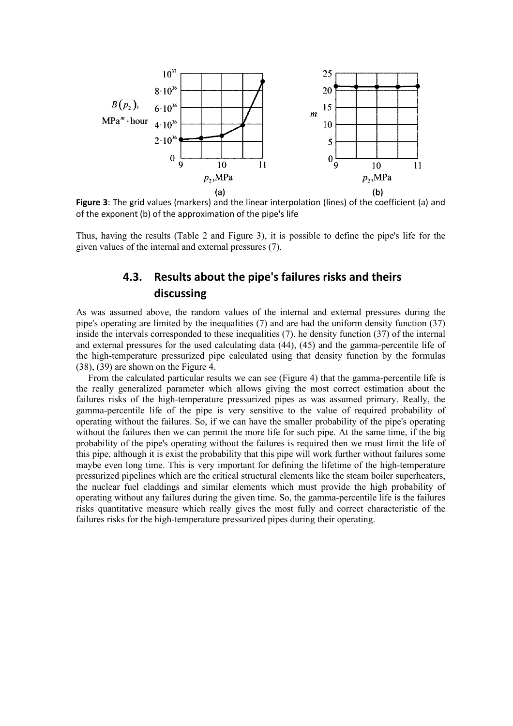

**Figure 3**: The grid values (markers) and the linear interpolation (lines) of the coefficient (a) and of the exponent (b) of the approximation of the pipe's life

Thus, having the results (Table 2 and Figure 3), it is possible to define the pipe's life for the given values of the internal and external pressures (7).

### **4.3. Results about the pipe's failures risks and theirs discussing**

As was assumed above, the random values of the internal and external pressures during the pipe's operating are limited by the inequalities (7) and are had the uniform density function (37) inside the intervals corresponded to these inequalities (7). he density function (37) of the internal and external pressures for the used calculating data (44), (45) and the gamma-percentile life of the high-temperature pressurized pipe calculated using that density function by the formulas (38), (39) are shown on the Figure 4.

From the calculated particular results we can see (Figure 4) that the gamma-percentile life is the really generalized parameter which allows giving the most correct estimation about the failures risks of the high-temperature pressurized pipes as was assumed primary. Really, the gamma-percentile life of the pipe is very sensitive to the value of required probability of operating without the failures. So, if we can have the smaller probability of the pipe's operating without the failures then we can permit the more life for such pipe. At the same time, if the big probability of the pipe's operating without the failures is required then we must limit the life of this pipe, although it is exist the probability that this pipe will work further without failures some maybe even long time. This is very important for defining the lifetime of the high-temperature pressurized pipelines which are the critical structural elements like the steam boiler superheaters, the nuclear fuel claddings and similar elements which must provide the high probability of operating without any failures during the given time. So, the gamma-percentile life is the failures risks quantitative measure which really gives the most fully and correct characteristic of the failures risks for the high-temperature pressurized pipes during their operating.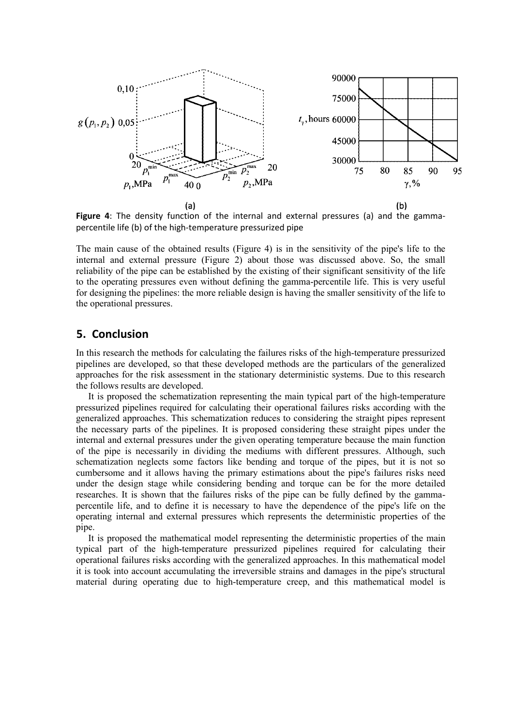

**Figure 4**: The density function of the internal and external pressures (a) and the gammapercentile life (b) of the high-temperature pressurized pipe

The main cause of the obtained results (Figure 4) is in the sensitivity of the pipe's life to the internal and external pressure (Figure 2) about those was discussed above. So, the small reliability of the pipe can be established by the existing of their significant sensitivity of the life to the operating pressures even without defining the gamma-percentile life. This is very useful for designing the pipelines: the more reliable design is having the smaller sensitivity of the life to the operational pressures.

#### **5. Conclusion**

In this research the methods for calculating the failures risks of the high-temperature pressurized pipelines are developed, so that these developed methods are the particulars of the generalized approaches for the risk assessment in the stationary deterministic systems. Due to this research the follows results are developed.

It is proposed the schematization representing the main typical part of the high-temperature pressurized pipelines required for calculating their operational failures risks according with the generalized approaches. This schematization reduces to considering the straight pipes represent the necessary parts of the pipelines. It is proposed considering these straight pipes under the internal and external pressures under the given operating temperature because the main function of the pipe is necessarily in dividing the mediums with different pressures. Although, such schematization neglects some factors like bending and torque of the pipes, but it is not so cumbersome and it allows having the primary estimations about the pipe's failures risks need under the design stage while considering bending and torque can be for the more detailed researches. It is shown that the failures risks of the pipe can be fully defined by the gammapercentile life, and to define it is necessary to have the dependence of the pipe's life on the operating internal and external pressures which represents the deterministic properties of the pipe.

It is proposed the mathematical model representing the deterministic properties of the main typical part of the high-temperature pressurized pipelines required for calculating their operational failures risks according with the generalized approaches. In this mathematical model it is took into account accumulating the irreversible strains and damages in the pipe's structural material during operating due to high-temperature creep, and this mathematical model is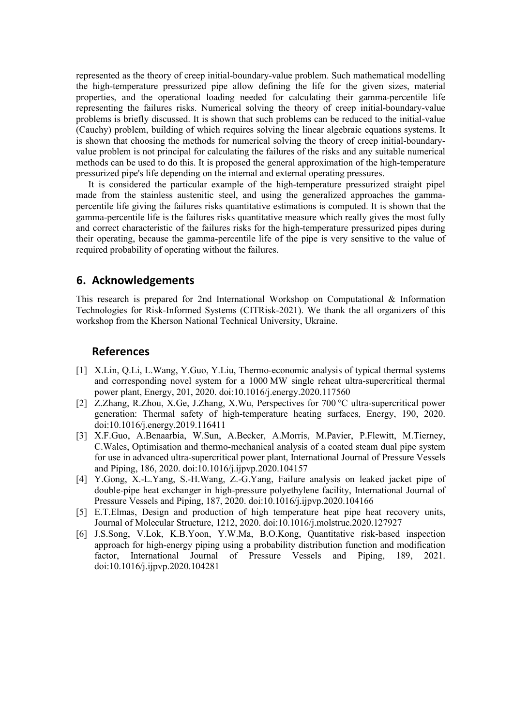represented as the theory of creep initial-boundary-value problem. Such mathematical modelling the high-temperature pressurized pipe allow defining the life for the given sizes, material properties, and the operational loading needed for calculating their gamma-percentile life representing the failures risks. Numerical solving the theory of creep initial-boundary-value problems is briefly discussed. It is shown that such problems can be reduced to the initial-value (Cauchy) problem, building of which requires solving the linear algebraic equations systems. It is shown that choosing the methods for numerical solving the theory of creep initial-boundaryvalue problem is not principal for calculating the failures of the risks and any suitable numerical methods can be used to do this. It is proposed the general approximation of the high-temperature pressurized pipe's life depending on the internal and external operating pressures.

It is considered the particular example of the high-temperature pressurized straight pipel made from the stainless austenitic steel, and using the generalized approaches the gammapercentile life giving the failures risks quantitative estimations is computed. It is shown that the gamma-percentile life is the failures risks quantitative measure which really gives the most fully and correct characteristic of the failures risks for the high-temperature pressurized pipes during their operating, because the gamma-percentile life of the pipe is very sensitive to the value of required probability of operating without the failures.

### **6. Acknowledgements**

This research is prepared for 2nd International Workshop on Computational & Information Technologies for Risk-Informed Systems (CITRisk-2021). We thank the all organizers of this workshop from the Kherson National Technical University, Ukraine.

#### **References**

- [1] X.Lin, Q.Li, L.Wang, Y.Guo, Y.Liu, Thermo-economic analysis of typical thermal systems and corresponding novel system for a 1000 MW single reheat ultra-supercritical thermal power plant, Energy, 201, 2020. doi:10.1016/j.energy.2020.117560
- [2] Z.Zhang, R.Zhou, X.Ge, J.Zhang, X.Wu, Perspectives for 700 °C ultra-supercritical power generation: Thermal safety of high-temperature heating surfaces, Energy, 190, 2020. doi:10.1016/j.energy.2019.116411
- [3] X.F.Guo, A.Benaarbia, W.Sun, A.Becker, A.Morris, M.Pavier, P.Flewitt, M.Tierney, C.Wales, Optimisation and thermo-mechanical analysis of a coated steam dual pipe system for use in advanced ultra-supercritical power plant, International Journal of Pressure Vessels and Piping, 186, 2020. doi:10.1016/j.ijpvp.2020.104157
- [4] Y.Gong, X.-L.Yang, S.-H.Wang, Z.-G.Yang, Failure analysis on leaked jacket pipe of double-pipe heat exchanger in high-pressure polyethylene facility, International Journal of Pressure Vessels and Piping, 187, 2020. doi:10.1016/j.ijpvp.2020.104166
- [5] E.T.Elmas, Design and production of high temperature heat pipe heat recovery units, Journal of Molecular Structure, 1212, 2020. doi:10.1016/j.molstruc.2020.127927
- [6] J.S.Song, V.Lok, K.B.Yoon, Y.W.Ma, B.O.Kong, Quantitative risk-based inspection approach for high-energy piping using a probability distribution function and modification factor, International Journal of Pressure Vessels and Piping, 189, 2021. doi:10.1016/j.ijpvp.2020.104281